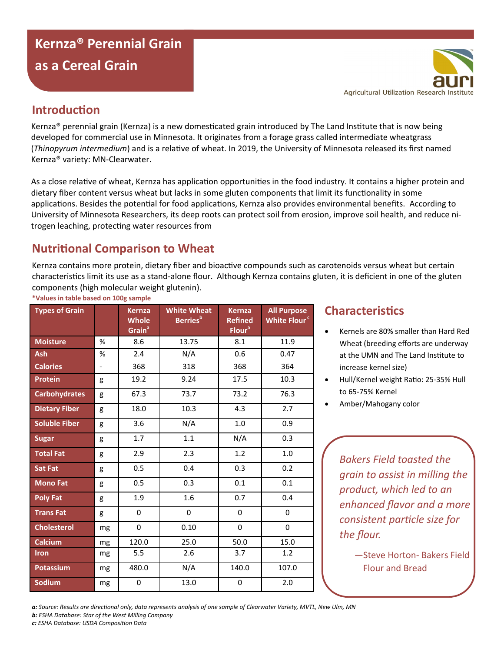# **Kernza® Perennial Grain as a Cereal Grain**

### **Introduction**

Kernza® perennial grain (Kernza) is a new domesticated grain introduced by The Land Institute that is now being developed for commercial use in Minnesota. It originates from a forage grass called intermediate wheatgrass (*Thinopyrum intermedium*) and is a relative of wheat. In 2019, the University of Minnesota released its first named Kernza® variety: MN-Clearwater.

As a close relative of wheat, Kernza has application opportunities in the food industry. It contains a higher protein and dietary fiber content versus wheat but lacks in some gluten components that limit its functionality in some applications. Besides the potential for food applications, Kernza also provides environmental benefits. According to University of Minnesota Researchers, its deep roots can protect soil from erosion, improve soil health, and reduce nitrogen leaching, protecting water resources from

# **Nutritional Comparison to Wheat**

Kernza contains more protein, dietary fiber and bioactive compounds such as carotenoids versus wheat but certain characteristics limit its use as a stand-alone flour. Although Kernza contains gluten, it is deficient in one of the gluten components (high molecular weight glutenin).

| <b>Types of Grain</b> |                | <b>Kernza</b><br><b>Whole</b><br>Grain <sup>ª</sup> | <b>White Wheat</b><br><b>Berries</b> <sup>b</sup> | <b>Kernza</b><br><b>Refined</b><br>Flour <sup>a</sup> | <b>All Purpose</b><br>White Flour <sup>c</sup> |
|-----------------------|----------------|-----------------------------------------------------|---------------------------------------------------|-------------------------------------------------------|------------------------------------------------|
| <b>Moisture</b>       | %              | 8.6                                                 | 13.75                                             | 8.1                                                   | 11.9                                           |
| <b>Ash</b>            | %              | 2.4                                                 | N/A                                               | 0.6                                                   | 0.47                                           |
| <b>Calories</b>       | $\blacksquare$ | 368                                                 | 318                                               | 368                                                   | 364                                            |
| <b>Protein</b>        | g              | 19.2                                                | 9.24                                              | 17.5                                                  | 10.3                                           |
| <b>Carbohydrates</b>  | g              | 67.3                                                | 73.7                                              | 73.2                                                  | 76.3                                           |
| <b>Dietary Fiber</b>  | g              | 18.0                                                | 10.3                                              | 4.3                                                   | 2.7                                            |
| <b>Soluble Fiber</b>  | g              | 3.6                                                 | N/A                                               | 1.0                                                   | 0.9                                            |
| <b>Sugar</b>          | g              | 1.7                                                 | 1.1                                               | N/A                                                   | 0.3                                            |
| <b>Total Fat</b>      | g              | 2.9                                                 | 2.3                                               | 1.2                                                   | $1.0$                                          |
| <b>Sat Fat</b>        | g              | 0.5                                                 | 0.4                                               | 0.3                                                   | 0.2                                            |
| <b>Mono Fat</b>       | g              | 0.5                                                 | 0.3                                               | 0.1                                                   | 0.1                                            |
| <b>Poly Fat</b>       | g              | 1.9                                                 | 1.6                                               | 0.7                                                   | 0.4                                            |
| <b>Trans Fat</b>      | g              | 0                                                   | $\mathbf 0$                                       | 0                                                     | 0                                              |
| <b>Cholesterol</b>    | mg             | 0                                                   | 0.10                                              | 0                                                     | 0                                              |
| Calcium               | mg             | 120.0                                               | 25.0                                              | 50.0                                                  | 15.0                                           |
| <b>Iron</b>           | mg             | 5.5                                                 | 2.6                                               | 3.7                                                   | 1.2                                            |
| <b>Potassium</b>      | mg             | 480.0                                               | N/A                                               | 140.0                                                 | 107.0                                          |
| <b>Sodium</b>         | mg             | 0                                                   | 13.0                                              | 0                                                     | $2.0\,$                                        |

#### **\*Values in table based on 100g sample**

#### **Characteristics**

- Kernels are 80% smaller than Hard Red Wheat (breeding efforts are underway at the UMN and The Land Institute to increase kernel size)
- Hull/Kernel weight Ratio: 25-35% Hull to 65-75% Kernel
- Amber/Mahogany color

*Bakers Field toasted the grain to assist in milling the product, which led to an enhanced flavor and a more consistent particle size for the flour.*

> —Steve Horton- Bakers Field Flour and Bread

*a: Source: Results are directional only, data represents analysis of one sample of Clearwater Variety, MVTL, New Ulm, MN*

*b: ESHA Database: Star of the West Milling Company*

*c: ESHA Database: USDA Composition Data*